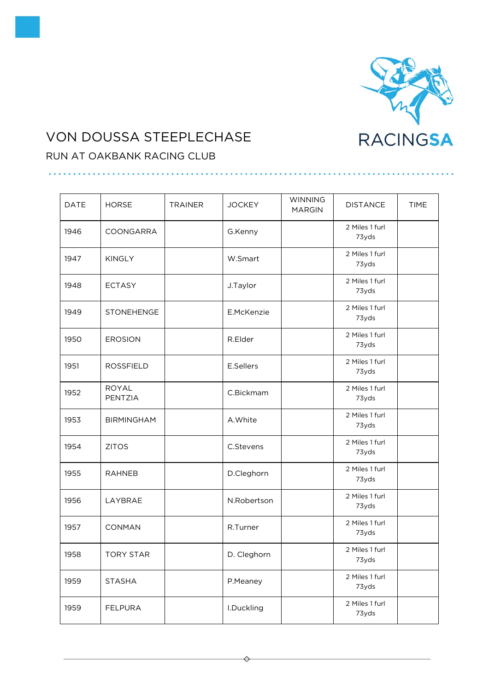

## VON DOUSSA STEEPLECHASE

## RUN AT OAKBANK RACING CLUB

| <b>DATE</b> | <b>HORSE</b>            | <b>TRAINER</b> | <b>JOCKEY</b> | <b>WINNING</b><br><b>MARGIN</b> | <b>DISTANCE</b>         | <b>TIME</b> |
|-------------|-------------------------|----------------|---------------|---------------------------------|-------------------------|-------------|
| 1946        | COONGARRA               |                | G.Kenny       |                                 | 2 Miles 1 furl<br>73yds |             |
| 1947        | <b>KINGLY</b>           |                | W.Smart       |                                 | 2 Miles 1 furl<br>73yds |             |
| 1948        | <b>ECTASY</b>           |                | J.Taylor      |                                 | 2 Miles 1 furl<br>73yds |             |
| 1949        | STONEHENGE              |                | E.McKenzie    |                                 | 2 Miles 1 furl<br>73yds |             |
| 1950        | <b>EROSION</b>          |                | R.Elder       |                                 | 2 Miles 1 furl<br>73yds |             |
| 1951        | <b>ROSSFIELD</b>        |                | E.Sellers     |                                 | 2 Miles 1 furl<br>73yds |             |
| 1952        | <b>ROYAL</b><br>PENTZIA |                | C.Bickmam     |                                 | 2 Miles 1 furl<br>73yds |             |
| 1953        | <b>BIRMINGHAM</b>       |                | A. White      |                                 | 2 Miles 1 furl<br>73yds |             |
| 1954        | <b>ZITOS</b>            |                | C.Stevens     |                                 | 2 Miles 1 furl<br>73yds |             |
| 1955        | <b>RAHNEB</b>           |                | D.Cleghorn    |                                 | 2 Miles 1 furl<br>73yds |             |
| 1956        | LAYBRAE                 |                | N.Robertson   |                                 | 2 Miles 1 furl<br>73yds |             |
| 1957        | CONMAN                  |                | R.Turner      |                                 | 2 Miles 1 furl<br>73yds |             |
| 1958        | <b>TORY STAR</b>        |                | D. Cleghorn   |                                 | 2 Miles 1 furl<br>73yds |             |
| 1959        | <b>STASHA</b>           |                | P.Meaney      |                                 | 2 Miles 1 furl<br>73yds |             |
| 1959        | <b>FELPURA</b>          |                | I.Duckling    |                                 | 2 Miles 1 furl<br>73yds |             |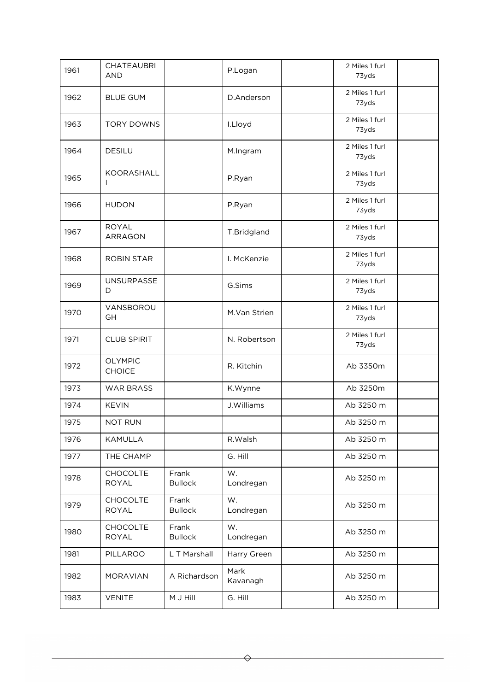| 1961 | <b>CHATEAUBRI</b><br><b>AND</b> |                         | P.Logan          | 2 Miles 1 furl<br>73yds |  |
|------|---------------------------------|-------------------------|------------------|-------------------------|--|
| 1962 | <b>BLUE GUM</b>                 |                         | D.Anderson       | 2 Miles 1 furl<br>73yds |  |
| 1963 | <b>TORY DOWNS</b>               |                         | I.Lloyd          | 2 Miles 1 furl<br>73yds |  |
| 1964 | <b>DESILU</b>                   |                         | M.Ingram         | 2 Miles 1 furl<br>73yds |  |
| 1965 | KOORASHALL                      |                         | P.Ryan           | 2 Miles 1 furl<br>73yds |  |
| 1966 | <b>HUDON</b>                    |                         | P.Ryan           | 2 Miles 1 furl<br>73yds |  |
| 1967 | <b>ROYAL</b><br><b>ARRAGON</b>  |                         | T.Bridgland      | 2 Miles 1 furl<br>73yds |  |
| 1968 | <b>ROBIN STAR</b>               |                         | I. McKenzie      | 2 Miles 1 furl<br>73yds |  |
| 1969 | <b>UNSURPASSE</b><br>D          |                         | G.Sims           | 2 Miles 1 furl<br>73yds |  |
| 1970 | VANSBOROU<br>GH                 |                         | M.Van Strien     | 2 Miles 1 furl<br>73yds |  |
| 1971 | <b>CLUB SPIRIT</b>              |                         | N. Robertson     | 2 Miles 1 furl<br>73yds |  |
| 1972 | <b>OLYMPIC</b><br><b>CHOICE</b> |                         | R. Kitchin       | Ab 3350m                |  |
| 1973 | <b>WAR BRASS</b>                |                         | K.Wynne          | Ab 3250m                |  |
| 1974 | <b>KEVIN</b>                    |                         | J.Williams       | Ab 3250 m               |  |
| 1975 | <b>NOT RUN</b>                  |                         |                  | Ab 3250 m               |  |
| 1976 | <b>KAMULLA</b>                  |                         | R.Walsh          | Ab 3250 m               |  |
| 1977 | THE CHAMP                       |                         | G. Hill          | Ab 3250 m               |  |
| 1978 | <b>CHOCOLTE</b><br><b>ROYAL</b> | Frank<br><b>Bullock</b> | W.<br>Londregan  | Ab 3250 m               |  |
| 1979 | <b>CHOCOLTE</b><br><b>ROYAL</b> | Frank<br><b>Bullock</b> | W.<br>Londregan  | Ab 3250 m               |  |
| 1980 | <b>CHOCOLTE</b><br><b>ROYAL</b> | Frank<br><b>Bullock</b> | W.<br>Londregan  | Ab 3250 m               |  |
| 1981 | PILLAROO                        | L T Marshall            | Harry Green      | Ab 3250 m               |  |
| 1982 | <b>MORAVIAN</b>                 | A Richardson            | Mark<br>Kavanagh | Ab 3250 m               |  |
| 1983 | <b>VENITE</b>                   | M J Hill                | G. Hill          | Ab 3250 m               |  |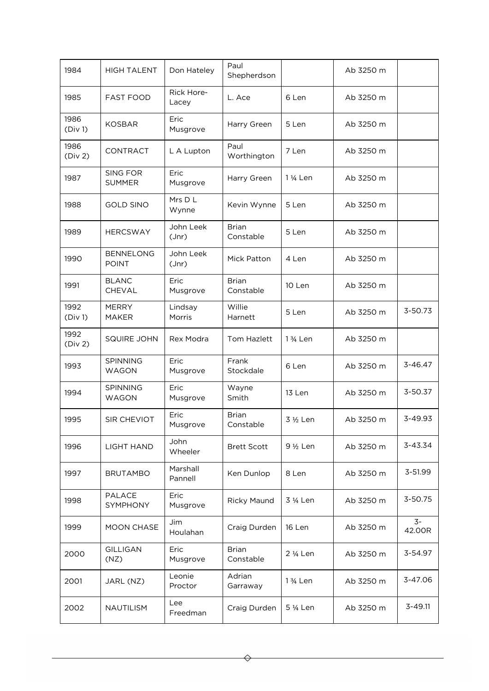| 1984            | <b>HIGH TALENT</b>               | Don Hateley         | Paul<br>Shepherdson       |                       | Ab 3250 m |                |
|-----------------|----------------------------------|---------------------|---------------------------|-----------------------|-----------|----------------|
| 1985            | <b>FAST FOOD</b>                 | Rick Hore-<br>Lacey | L. Ace                    | 6 Len                 | Ab 3250 m |                |
| 1986<br>(Div 1) | <b>KOSBAR</b>                    | Eric<br>Musgrove    | Harry Green               | 5 Len                 | Ab 3250 m |                |
| 1986<br>(Div 2) | <b>CONTRACT</b>                  | L A Lupton          | Paul<br>Worthington       | 7 Len                 | Ab 3250 m |                |
| 1987            | <b>SING FOR</b><br><b>SUMMER</b> | Eric<br>Musgrove    | Harry Green               | 1 1/ <sub>4</sub> Len | Ab 3250 m |                |
| 1988            | <b>GOLD SINO</b>                 | Mrs D L<br>Wynne    | Kevin Wynne               | 5 Len                 | Ab 3250 m |                |
| 1989            | <b>HERCSWAY</b>                  | John Leek<br>Jnr    | <b>Brian</b><br>Constable | 5 Len                 | Ab 3250 m |                |
| 1990            | <b>BENNELONG</b><br><b>POINT</b> | John Leek<br>Jnr    | Mick Patton               | 4 Len                 | Ab 3250 m |                |
| 1991            | <b>BLANC</b><br><b>CHEVAL</b>    | Eric<br>Musgrove    | <b>Brian</b><br>Constable | 10 Len                | Ab 3250 m |                |
| 1992<br>(Div 1) | <b>MERRY</b><br><b>MAKER</b>     | Lindsay<br>Morris   | Willie<br>Harnett         | 5 Len                 | Ab 3250 m | 3-50.73        |
| 1992<br>(Div 2) | <b>SQUIRE JOHN</b>               | Rex Modra           | Tom Hazlett               | 1 3/ <sub>4</sub> Len | Ab 3250 m |                |
| 1993            | <b>SPINNING</b><br>WAGON         | Eric<br>Musgrove    | Frank<br>Stockdale        | 6 Len                 | Ab 3250 m | $3 - 46.47$    |
| 1994            | SPINNING<br><b>WAGON</b>         | Eric<br>Musgrove    | Wayne<br>Smith            | 13 Len                | Ab 3250 m | 3-50.37        |
| 1995            | SIR CHEVIOT                      | Eric<br>Musgrove    | <b>Brian</b><br>Constable | 3 1/2 Len             | Ab 3250 m | 3-49.93        |
| 1996            | <b>LIGHT HAND</b>                | John<br>Wheeler     | <b>Brett Scott</b>        | 9 1/2 Len             | Ab 3250 m | 3-43.34        |
| 1997            | <b>BRUTAMBO</b>                  | Marshall<br>Pannell | Ken Dunlop                | 8 Len                 | Ab 3250 m | 3-51.99        |
| 1998            | PALACE<br>SYMPHONY               | Eric<br>Musgrove    | <b>Ricky Maund</b>        | 3 1/ <sub>4</sub> Len | Ab 3250 m | 3-50.75        |
| 1999            | <b>MOON CHASE</b>                | Jim<br>Houlahan     | Craig Durden              | 16 Len                | Ab 3250 m | $3-$<br>42.00R |
| 2000            | <b>GILLIGAN</b><br>(NZ)          | Eric<br>Musgrove    | <b>Brian</b><br>Constable | 2 1/ <sub>4</sub> Len | Ab 3250 m | 3-54.97        |
| 2001            | JARL (NZ)                        | Leonie<br>Proctor   | Adrian<br>Garraway        | 1 3/ <sub>4</sub> Len | Ab 3250 m | 3-47.06        |
| 2002            | NAUTILISM                        | Lee<br>Freedman     | Craig Durden              | 5 1/ <sub>4</sub> Len | Ab 3250 m | 3-49.11        |